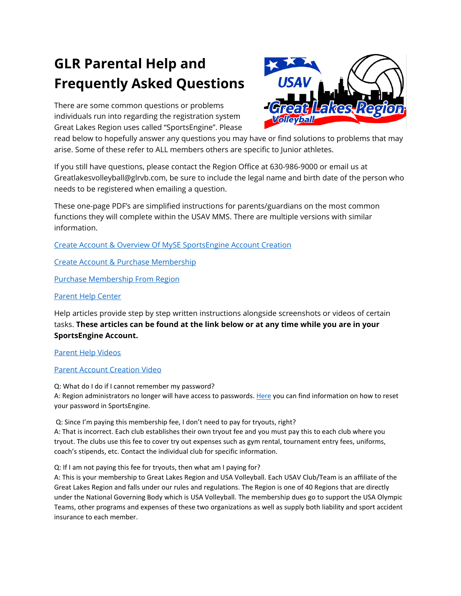# **GLR Parental Help and Frequently Asked Questions**

There are some common questions or problems individuals run into regarding the registration system Great Lakes Region uses called "SportsEngine". Please



read below to hopefully answer any questions you may have or find solutions to problems that may arise. Some of these refer to ALL members others are specific to Junior athletes.

If you still have questions, please contact the Region Office at 630-986-9000 or email us at Greatlakesvolleyball@glrvb.com, be sure to include the legal name and birth date of the person who needs to be registered when emailing a question.

These one-page PDF's are simplified instructions for parents/guardians on the most common functions they will complete within the USAV MMS. There are multiple versions with similar information.

[Create Account & Overview Of MySE SportsEngine Account Creation](http://greatlakesvolleyball.org/Documents/USAVParentCreateSEAccount.pdf)

[Create Account & Purchase Membership](http://greatlakesvolleyball.org/Documents/USAVParentSimplifiedCreatePurchaseMembership.pdf)

[Purchase Membership From Region](http://greatlakesvolleyball.org/Documents/USAVParentPurchaseSEMembershipsFromRegion.pdf)

# [Parent Help Center](https://help.sportsengine.com/en/categories/396-my-account)

Help articles provide step by step written instructions alongside screenshots or videos of certain tasks. **These articles can be found at the link below or at any time while you are in your SportsEngine Account.** 

[Parent Help Videos](https://help.sportsengine.com/en/articles/1730-usav-parent-video-resources)

# [Parent Account Creation Video](https://sportsengine.wistia.com/medias/capmq5etwa)

Q: What do I do if I cannot remember my password? A: Region administrators no longer will have access to passwords[. Here](https://help.sportsengine.com/en/articles/207?_ga=2.227068701.1465212858.1598364074-1497442697.1581610981) you can find information on how to reset your password in SportsEngine.

Q: Since I'm paying this membership fee, I don't need to pay for tryouts, right? A: That is incorrect. Each club establishes their own tryout fee and you must pay this to each club where you tryout. The clubs use this fee to cover try out expenses such as gym rental, tournament entry fees, uniforms, coach's stipends, etc. Contact the individual club for specific information.

Q: If I am not paying this fee for tryouts, then what am I paying for?

A: This is your membership to Great Lakes Region and USA Volleyball. Each USAV Club/Team is an affiliate of the Great Lakes Region and falls under our rules and regulations. The Region is one of 40 Regions that are directly under the National Governing Body which is USA Volleyball. The membership dues go to support the USA Olympic Teams, other programs and expenses of these two organizations as well as supply both liability and sport accident insurance to each member.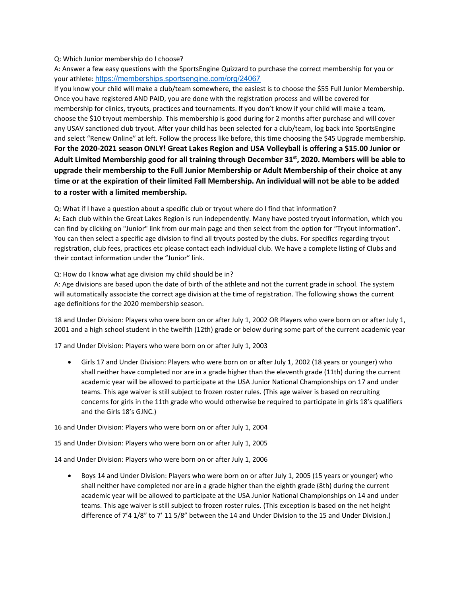### Q: Which Junior membership do I choose?

A: Answer a few easy questions with the SportsEngine Quizzard to purchase the correct membership for you or your athlete: <https://memberships.sportsengine.com/org/24067>

If you know your child will make a club/team somewhere, the easiest is to choose the \$55 Full Junior Membership. Once you have registered AND PAID, you are done with the registration process and will be covered for membership for clinics, tryouts, practices and tournaments. If you don't know if your child will make a team, choose the \$10 tryout membership. This membership is good during for 2 months after purchase and will cover any USAV sanctioned club tryout. After your child has been selected for a club/team, log back into SportsEngine and select "Renew Online" at left. Follow the process like before, this time choosing the \$45 Upgrade membership. **For the 2020-2021 season ONLY! Great Lakes Region and USA Volleyball is offering a \$15.00 Junior or Adult Limited Membership good for all training through December 31st, 2020. Members will be able to upgrade their membership to the Full Junior Membership or Adult Membership of their choice at any time or at the expiration of their limited Fall Membership. An individual will not be able to be added to a roster with a limited membership.**

Q: What if I have a question about a specific club or tryout where do I find that information?

A: Each club within the Great Lakes Region is run independently. Many have posted tryout information, which you can find by clicking on "Junior" link from our main page and then select from the option for "Tryout Information". You can then select a specific age division to find all tryouts posted by the clubs. For specifics regarding tryout registration, club fees, practices etc please contact each individual club. We have a complete listing of Clubs and their contact information under the "Junior" link.

Q: How do I know what age division my child should be in?

A: Age divisions are based upon the date of birth of the athlete and not the current grade in school. The system will automatically associate the correct age division at the time of registration. The following shows the current age definitions for the 2020 membership season.

18 and Under Division: Players who were born on or after July 1, 2002 OR Players who were born on or after July 1, 2001 and a high school student in the twelfth (12th) grade or below during some part of the current academic year

17 and Under Division: Players who were born on or after July 1, 2003

• Girls 17 and Under Division: Players who were born on or after July 1, 2002 (18 years or younger) who shall neither have completed nor are in a grade higher than the eleventh grade (11th) during the current academic year will be allowed to participate at the USA Junior National Championships on 17 and under teams. This age waiver is still subject to frozen roster rules. (This age waiver is based on recruiting concerns for girls in the 11th grade who would otherwise be required to participate in girls 18's qualifiers and the Girls 18's GJNC.)

16 and Under Division: Players who were born on or after July 1, 2004

15 and Under Division: Players who were born on or after July 1, 2005

14 and Under Division: Players who were born on or after July 1, 2006

• Boys 14 and Under Division: Players who were born on or after July 1, 2005 (15 years or younger) who shall neither have completed nor are in a grade higher than the eighth grade (8th) during the current academic year will be allowed to participate at the USA Junior National Championships on 14 and under teams. This age waiver is still subject to frozen roster rules. (This exception is based on the net height difference of 7'4 1/8" to 7' 11 5/8" between the 14 and Under Division to the 15 and Under Division.)